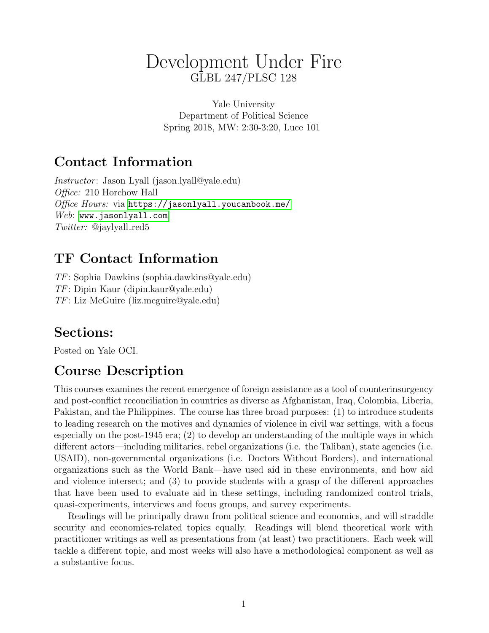# Development Under Fire GLBL 247/PLSC 128

Yale University Department of Political Science Spring 2018, MW: 2:30-3:20, Luce 101

# Contact Information

Instructor : Jason Lyall (jason.lyall@yale.edu) Office: 210 Horchow Hall Office Hours: via <https://jasonlyall.youcanbook.me/> Web: <www.jasonlyall.com>  $Twitter:$  @jaylyall\_red5

# TF Contact Information

TF: Sophia Dawkins (sophia.dawkins@yale.edu) TF: Dipin Kaur (dipin.kaur@yale.edu) TF: Liz McGuire (liz.mcguire@yale.edu)

# Sections:

Posted on Yale OCI.

# Course Description

This courses examines the recent emergence of foreign assistance as a tool of counterinsurgency and post-conflict reconciliation in countries as diverse as Afghanistan, Iraq, Colombia, Liberia, Pakistan, and the Philippines. The course has three broad purposes: (1) to introduce students to leading research on the motives and dynamics of violence in civil war settings, with a focus especially on the post-1945 era; (2) to develop an understanding of the multiple ways in which different actors—including militaries, rebel organizations (i.e. the Taliban), state agencies (i.e. USAID), non-governmental organizations (i.e. Doctors Without Borders), and international organizations such as the World Bank—have used aid in these environments, and how aid and violence intersect; and (3) to provide students with a grasp of the different approaches that have been used to evaluate aid in these settings, including randomized control trials, quasi-experiments, interviews and focus groups, and survey experiments.

Readings will be principally drawn from political science and economics, and will straddle security and economics-related topics equally. Readings will blend theoretical work with practitioner writings as well as presentations from (at least) two practitioners. Each week will tackle a different topic, and most weeks will also have a methodological component as well as a substantive focus.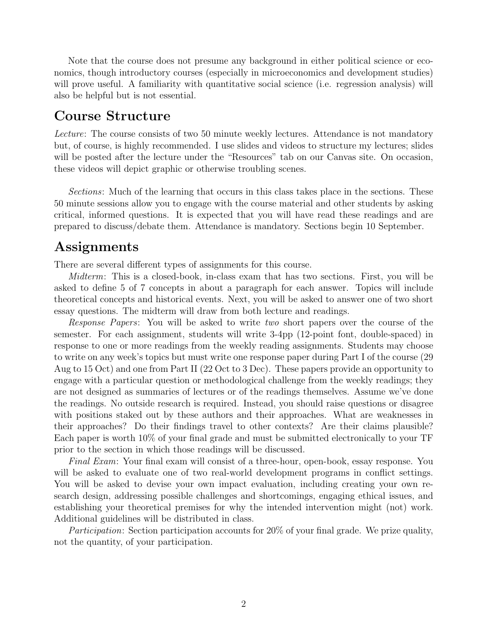Note that the course does not presume any background in either political science or economics, though introductory courses (especially in microeconomics and development studies) will prove useful. A familiarity with quantitative social science (i.e. regression analysis) will also be helpful but is not essential.

## Course Structure

Lecture: The course consists of two 50 minute weekly lectures. Attendance is not mandatory but, of course, is highly recommended. I use slides and videos to structure my lectures; slides will be posted after the lecture under the "Resources" tab on our Canvas site. On occasion, these videos will depict graphic or otherwise troubling scenes.

Sections: Much of the learning that occurs in this class takes place in the sections. These 50 minute sessions allow you to engage with the course material and other students by asking critical, informed questions. It is expected that you will have read these readings and are prepared to discuss/debate them. Attendance is mandatory. Sections begin 10 September.

# **Assignments**

There are several different types of assignments for this course.

Midterm: This is a closed-book, in-class exam that has two sections. First, you will be asked to define 5 of 7 concepts in about a paragraph for each answer. Topics will include theoretical concepts and historical events. Next, you will be asked to answer one of two short essay questions. The midterm will draw from both lecture and readings.

Response Papers: You will be asked to write two short papers over the course of the semester. For each assignment, students will write 3-4pp (12-point font, double-spaced) in response to one or more readings from the weekly reading assignments. Students may choose to write on any week's topics but must write one response paper during Part I of the course (29 Aug to 15 Oct) and one from Part II (22 Oct to 3 Dec). These papers provide an opportunity to engage with a particular question or methodological challenge from the weekly readings; they are not designed as summaries of lectures or of the readings themselves. Assume we've done the readings. No outside research is required. Instead, you should raise questions or disagree with positions staked out by these authors and their approaches. What are weaknesses in their approaches? Do their findings travel to other contexts? Are their claims plausible? Each paper is worth 10% of your final grade and must be submitted electronically to your TF prior to the section in which those readings will be discussed.

Final Exam: Your final exam will consist of a three-hour, open-book, essay response. You will be asked to evaluate one of two real-world development programs in conflict settings. You will be asked to devise your own impact evaluation, including creating your own research design, addressing possible challenges and shortcomings, engaging ethical issues, and establishing your theoretical premises for why the intended intervention might (not) work. Additional guidelines will be distributed in class.

Participation: Section participation accounts for 20% of your final grade. We prize quality, not the quantity, of your participation.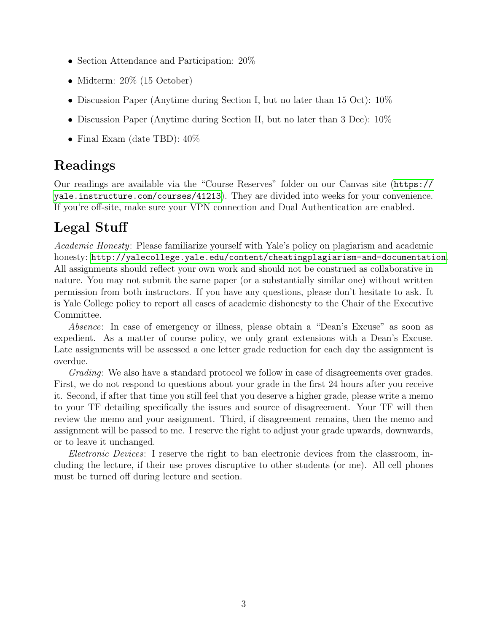- Section Attendance and Participation: 20%
- Midterm: 20% (15 October)
- Discussion Paper (Anytime during Section I, but no later than 15 Oct): 10%
- Discussion Paper (Anytime during Section II, but no later than 3 Dec): 10%
- Final Exam (date TBD):  $40\%$

# Readings

Our readings are available via the "Course Reserves" folder on our Canvas site ([https://](https://yale.instructure.com/courses/41213) [yale.instructure.com/courses/41213](https://yale.instructure.com/courses/41213)). They are divided into weeks for your convenience. If you're off-site, make sure your VPN connection and Dual Authentication are enabled.

# Legal Stuff

Academic Honesty: Please familiarize yourself with Yale's policy on plagiarism and academic honesty: [http://yalecollege.yale.edu/content/cheatingplagiarism-and-documentation](http://yalecollege.yale.edu/content/ cheatingplagiarism-and-documentation). All assignments should reflect your own work and should not be construed as collaborative in nature. You may not submit the same paper (or a substantially similar one) without written permission from both instructors. If you have any questions, please don't hesitate to ask. It is Yale College policy to report all cases of academic dishonesty to the Chair of the Executive Committee.

Absence: In case of emergency or illness, please obtain a "Dean's Excuse" as soon as expedient. As a matter of course policy, we only grant extensions with a Dean's Excuse. Late assignments will be assessed a one letter grade reduction for each day the assignment is overdue.

Grading: We also have a standard protocol we follow in case of disagreements over grades. First, we do not respond to questions about your grade in the first 24 hours after you receive it. Second, if after that time you still feel that you deserve a higher grade, please write a memo to your TF detailing specifically the issues and source of disagreement. Your TF will then review the memo and your assignment. Third, if disagreement remains, then the memo and assignment will be passed to me. I reserve the right to adjust your grade upwards, downwards, or to leave it unchanged.

Electronic Devices: I reserve the right to ban electronic devices from the classroom, including the lecture, if their use proves disruptive to other students (or me). All cell phones must be turned off during lecture and section.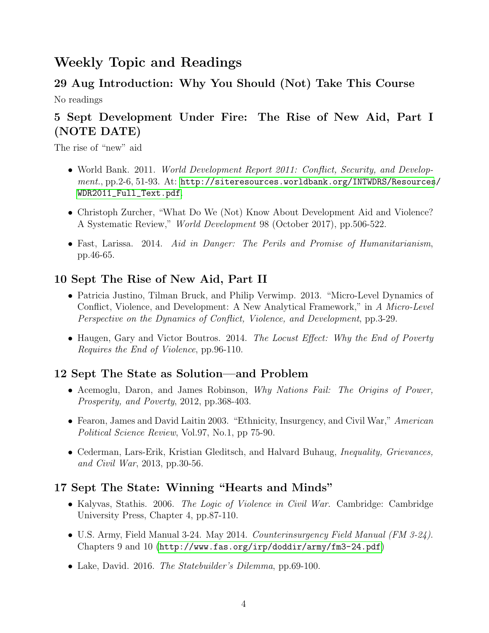# Weekly Topic and Readings

#### 29 Aug Introduction: Why You Should (Not) Take This Course

No readings

# 5 Sept Development Under Fire: The Rise of New Aid, Part I (NOTE DATE)

The rise of "new" aid

- World Bank. 2011. *World Development Report 2011: Conflict, Security, and Develop* $ment., pp.2-6, 51-93. At: http://siteressources.worldbank.org/INTWDRS/Resources/$ [WDR2011\\_Full\\_Text.pdf](http://siteresources.worldbank.org/INTWDRS/Resources/WDR2011_Full_Text.pdf).
- Christoph Zurcher, "What Do We (Not) Know About Development Aid and Violence? A Systematic Review," World Development 98 (October 2017), pp.506-522.
- Fast, Larissa. 2014. Aid in Danger: The Perils and Promise of Humanitarianism, pp.46-65.

### 10 Sept The Rise of New Aid, Part II

- Patricia Justino, Tilman Bruck, and Philip Verwimp. 2013. "Micro-Level Dynamics of Conflict, Violence, and Development: A New Analytical Framework," in A Micro-Level Perspective on the Dynamics of Conflict, Violence, and Development, pp.3-29.
- Haugen, Gary and Victor Boutros. 2014. The Locust Effect: Why the End of Poverty Requires the End of Violence, pp.96-110.

## 12 Sept The State as Solution—and Problem

- Acemoglu, Daron, and James Robinson, *Why Nations Fail: The Origins of Power*, Prosperity, and Poverty, 2012, pp.368-403.
- Fearon, James and David Laitin 2003. "Ethnicity, Insurgency, and Civil War," American Political Science Review, Vol.97, No.1, pp 75-90.
- Cederman, Lars-Erik, Kristian Gleditsch, and Halvard Buhaug, *Inequality, Grievances*, and Civil War, 2013, pp.30-56.

#### 17 Sept The State: Winning "Hearts and Minds"

- Kalyvas, Stathis. 2006. The Logic of Violence in Civil War. Cambridge: Cambridge University Press, Chapter 4, pp.87-110.
- U.S. Army, Field Manual 3-24. May 2014. Counterinsurgency Field Manual (FM 3-24). Chapters 9 and 10 (<http://www.fas.org/irp/doddir/army/fm3-24.pdf>)
- Lake, David. 2016. *The Statebuilder's Dilemma*, pp.69-100.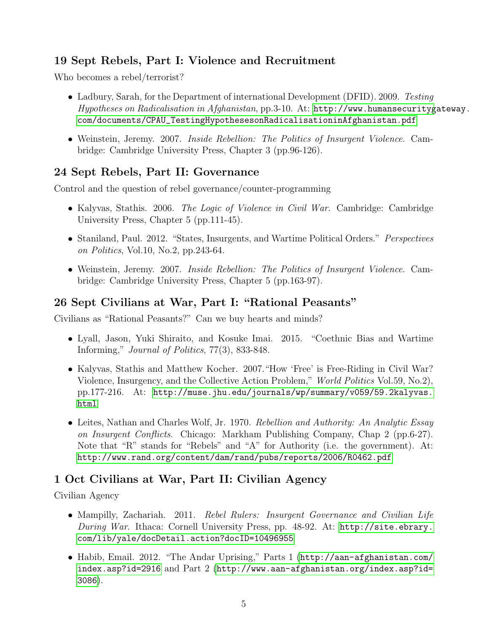## 19 Sept Rebels, Part I: Violence and Recruitment

Who becomes a rebel/terrorist?

- Ladbury, Sarah, for the Department of international Development (DFID). 2009. Testing Hypotheses on Radicalisation in Afghanistan, pp.3-10. At: [http://www.humansecurityg](http://www.humansecuritygateway.com/documents/CPAU_TestingHypothesesonRadicalisationinAfghanistan.pdf)ateway. [com/documents/CPAU\\_TestingHypothesesonRadicalisationinAfghanistan.pdf](http://www.humansecuritygateway.com/documents/CPAU_TestingHypothesesonRadicalisationinAfghanistan.pdf)
- Weinstein, Jeremy. 2007. Inside Rebellion: The Politics of Insurgent Violence. Cambridge: Cambridge University Press, Chapter 3 (pp.96-126).

## 24 Sept Rebels, Part II: Governance

Control and the question of rebel governance/counter-programming

- Kalyvas, Stathis. 2006. The Logic of Violence in Civil War. Cambridge: Cambridge University Press, Chapter 5 (pp.111-45).
- Staniland, Paul. 2012. "States, Insurgents, and Wartime Political Orders." Perspectives on Politics, Vol.10, No.2, pp.243-64.
- Weinstein, Jeremy. 2007. Inside Rebellion: The Politics of Insurgent Violence. Cambridge: Cambridge University Press, Chapter 5 (pp.163-97).

### 26 Sept Civilians at War, Part I: "Rational Peasants"

Civilians as "Rational Peasants?" Can we buy hearts and minds?

- Lyall, Jason, Yuki Shiraito, and Kosuke Imai. 2015. "Coethnic Bias and Wartime Informing," Journal of Politics, 77(3), 833-848.
- Kalyvas, Stathis and Matthew Kocher. 2007."How 'Free' is Free-Riding in Civil War? Violence, Insurgency, and the Collective Action Problem," World Politics Vol.59, No.2), pp.177-216. At: [http://muse.jhu.edu/journals/wp/summary/v059/59.2kalyvas.](http://muse.jhu.edu/journals/wp/summary/v059/59.2kalyvas.html) [html](http://muse.jhu.edu/journals/wp/summary/v059/59.2kalyvas.html)
- Leites, Nathan and Charles Wolf, Jr. 1970. Rebellion and Authority: An Analytic Essay on Insurgent Conflicts. Chicago: Markham Publishing Company, Chap 2 (pp.6-27). Note that "R" stands for "Rebels" and "A" for Authority (i.e. the government). At: <http://www.rand.org/content/dam/rand/pubs/reports/2006/R0462.pdf>

#### 1 Oct Civilians at War, Part II: Civilian Agency

Civilian Agency

- Mampilly, Zachariah. 2011. Rebel Rulers: Insurgent Governance and Civilian Life During War. Ithaca: Cornell University Press, pp. 48-92. At: [http://site.ebrary.](http://site.ebrary.com/lib/yale/docDetail.action?docID=10496955) [com/lib/yale/docDetail.action?docID=10496955](http://site.ebrary.com/lib/yale/docDetail.action?docID=10496955)
- Habib, Email. 2012. "The Andar Uprising," Parts 1 ([http://aan-afghanistan.com/](http://aan-afghanistan.com/index.asp?id=2916) [index.asp?id=2916](http://aan-afghanistan.com/index.asp?id=2916) and Part 2 ([http://www.aan-afghanistan.org/index.asp?id=](http://www.aan-afghanistan.org/index.asp?id=3086) [3086](http://www.aan-afghanistan.org/index.asp?id=3086)).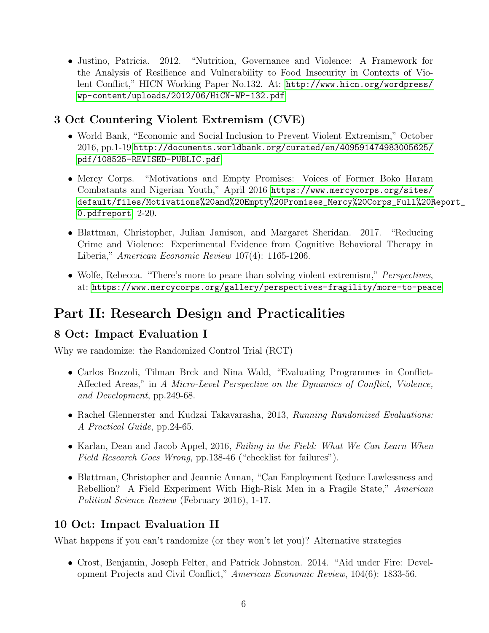• Justino, Patricia. 2012. "Nutrition, Governance and Violence: A Framework for the Analysis of Resilience and Vulnerability to Food Insecurity in Contexts of Violent Conflict," HICN Working Paper No.132. At: [http://www.hicn.org/wordpress/](http://www.hicn.org/wordpress/wp-content/uploads/2012/06/HiCN-WP-132.pdf) [wp-content/uploads/2012/06/HiCN-WP-132.pdf](http://www.hicn.org/wordpress/wp-content/uploads/2012/06/HiCN-WP-132.pdf)

## 3 Oct Countering Violent Extremism (CVE)

- World Bank, "Economic and Social Inclusion to Prevent Violent Extremism," October 2016, pp.1-19 [http://documents.worldbank.org/curated/en/409591474983005625/](http://documents.worldbank.org/curated/en/409591474983005625/pdf/108525-REVISED-PUBLIC.pdf) [pdf/108525-REVISED-PUBLIC.pdf](http://documents.worldbank.org/curated/en/409591474983005625/pdf/108525-REVISED-PUBLIC.pdf)
- Mercy Corps. "Motivations and Empty Promises: Voices of Former Boko Haram Combatants and Nigerian Youth," April 2016 [https://www.mercycorps.org/sites/](https://www.mercycorps.org/sites/default/files/Motivations%20and%20Empty%20Promises_Mercy%20Corps_Full%20Report_0.pdf report) [default/files/Motivations%20and%20Empty%20Promises\\_Mercy%20Corps\\_Full%20R](https://www.mercycorps.org/sites/default/files/Motivations%20and%20Empty%20Promises_Mercy%20Corps_Full%20Report_0.pdf report)eport\_ [0.pdfreport](https://www.mercycorps.org/sites/default/files/Motivations%20and%20Empty%20Promises_Mercy%20Corps_Full%20Report_0.pdf report), 2-20.
- Blattman, Christopher, Julian Jamison, and Margaret Sheridan. 2017. "Reducing Crime and Violence: Experimental Evidence from Cognitive Behavioral Therapy in Liberia," American Economic Review 107(4): 1165-1206.
- Wolfe, Rebecca. "There's more to peace than solving violent extremism," *Perspectives*, at: <https://www.mercycorps.org/gallery/perspectives-fragility/more-to-peace>

# Part II: Research Design and Practicalities

## 8 Oct: Impact Evaluation I

Why we randomize: the Randomized Control Trial (RCT)

- Carlos Bozzoli, Tilman Brck and Nina Wald, "Evaluating Programmes in Conflict-Affected Areas," in A Micro-Level Perspective on the Dynamics of Conflict, Violence, and Development, pp.249-68.
- Rachel Glennerster and Kudzai Takavarasha, 2013, Running Randomized Evaluations: A Practical Guide, pp.24-65.
- Karlan, Dean and Jacob Appel, 2016, Failing in the Field: What We Can Learn When Field Research Goes Wrong, pp.138-46 ("checklist for failures").
- Blattman, Christopher and Jeannie Annan, "Can Employment Reduce Lawlessness and Rebellion? A Field Experiment With High-Risk Men in a Fragile State," American Political Science Review (February 2016), 1-17.

# 10 Oct: Impact Evaluation II

What happens if you can't randomize (or they won't let you)? Alternative strategies

• Crost, Benjamin, Joseph Felter, and Patrick Johnston. 2014. "Aid under Fire: Development Projects and Civil Conflict," American Economic Review, 104(6): 1833-56.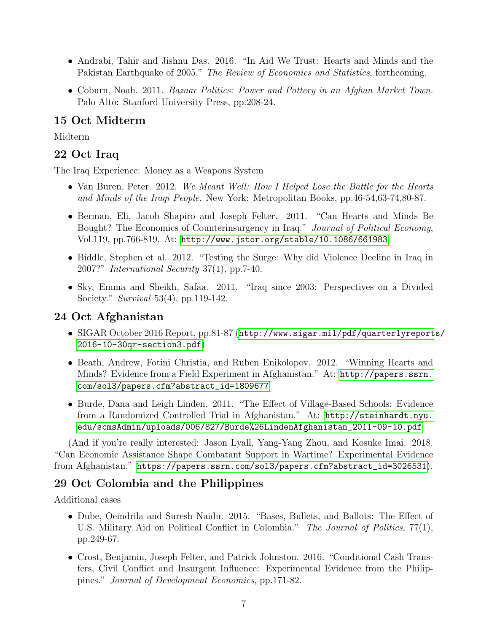- Andrabi, Tahir and Jishnu Das. 2016. "In Aid We Trust: Hearts and Minds and the Pakistan Earthquake of 2005," The Review of Economics and Statistics, forthcoming.
- Coburn, Noah. 2011. Bazaar Politics: Power and Pottery in an Afghan Market Town. Palo Alto: Stanford University Press, pp.208-24.

#### 15 Oct Midterm

Midterm

#### 22 Oct Iraq

The Iraq Experience: Money as a Weapons System

- Van Buren, Peter. 2012. We Meant Well: How I Helped Lose the Battle for the Hearts and Minds of the Iraqi People. New York: Metropolitan Books, pp.46-54,63-74,80-87.
- Berman, Eli, Jacob Shapiro and Joseph Felter. 2011. "Can Hearts and Minds Be Bought? The Economics of Counterinsurgency in Iraq." Journal of Political Economy, Vol.119, pp.766-819. At: <http://www.jstor.org/stable/10.1086/661983>
- Biddle, Stephen et al. 2012. "Testing the Surge: Why did Violence Decline in Iraq in 2007?" International Security 37(1), pp.7-40.
- Sky, Emma and Sheikh, Safaa. 2011. "Iraq since 2003: Perspectives on a Divided Society." Survival 53(4), pp.119-142.

#### 24 Oct Afghanistan

- SIGAR October 2016 Report, pp.81-87 ([http://www.sigar.mil/pdf/quarterlyreport](http://www.sigar.mil/pdf/quarterlyreports/2016-10-30qr-section3.pdf)s/ [2016-10-30qr-section3.pdf](http://www.sigar.mil/pdf/quarterlyreports/2016-10-30qr-section3.pdf))
- Beath, Andrew, Fotini Christia, and Ruben Enikolopov. 2012. "Winning Hearts and Minds? Evidence from a Field Experiment in Afghanistan." At: [http://papers.ssrn.](http://papers.ssrn.com/sol3/papers.cfm?abstract_id=1809677) [com/sol3/papers.cfm?abstract\\_id=1809677](http://papers.ssrn.com/sol3/papers.cfm?abstract_id=1809677)
- Burde, Dana and Leigh Linden. 2011. "The Effect of Village-Based Schools: Evidence from a Randomized Controlled Trial in Afghanistan." At: [http://steinhardt.nyu.]( http://steinhardt.nyu.edu/scmsAdmin/uploads/006/827/Burde%26LindenAfghanistan_2011-09-10.pdf) [edu/scmsAdmin/uploads/006/827/Burde%26LindenAfghanistan\\_2011-09-10.pdf]( http://steinhardt.nyu.edu/scmsAdmin/uploads/006/827/Burde%26LindenAfghanistan_2011-09-10.pdf)

(And if you're really interested: Jason Lyall, Yang-Yang Zhou, and Kosuke Imai. 2018. "Can Economic Assistance Shape Combatant Support in Wartime? Experimental Evidence from Afghanistan." [https://papers.ssrn.com/sol3/papers.cfm?abstract\\_id=3026531](https://papers.ssrn.com/sol3/papers.cfm?abstract_id=3026531)).

#### 29 Oct Colombia and the Philippines

Additional cases

- Dube, Oeindrila and Suresh Naidu. 2015. "Bases, Bullets, and Ballots: The Effect of U.S. Military Aid on Political Conflict in Colombia." The Journal of Politics, 77(1), pp.249-67.
- Crost, Benjamin, Joseph Felter, and Patrick Johnston. 2016. "Conditional Cash Transfers, Civil Conflict and Insurgent Influence: Experimental Evidence from the Philippines." Journal of Development Economics, pp.171-82.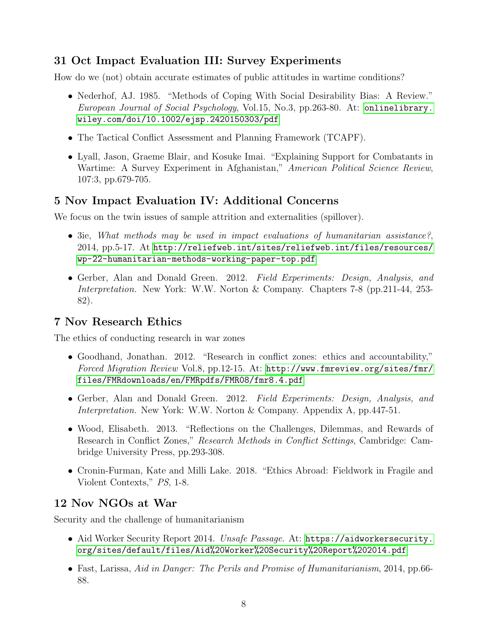### 31 Oct Impact Evaluation III: Survey Experiments

How do we (not) obtain accurate estimates of public attitudes in wartime conditions?

- Nederhof, AJ. 1985. "Methods of Coping With Social Desirability Bias: A Review." European Journal of Social Psychology, Vol.15, No.3, pp.263-80. At: [onlinelibrary.](onlinelibrary.wiley.com/doi/10.1002/ejsp.2420150303/pdf) [wiley.com/doi/10.1002/ejsp.2420150303/pdf](onlinelibrary.wiley.com/doi/10.1002/ejsp.2420150303/pdf)
- The Tactical Conflict Assessment and Planning Framework (TCAPF).
- Lyall, Jason, Graeme Blair, and Kosuke Imai. "Explaining Support for Combatants in Wartime: A Survey Experiment in Afghanistan," American Political Science Review, 107:3, pp.679-705.

#### 5 Nov Impact Evaluation IV: Additional Concerns

We focus on the twin issues of sample attrition and externalities (spillover).

- 3ie, What methods may be used in impact evaluations of humanitarian assistance?, 2014, pp.5-17. At [http://reliefweb.int/sites/reliefweb.int/files/resources/](http://reliefweb.int/sites/reliefweb.int/files/resources/wp-22-humanitarian-methods-working-paper-top.pdf) [wp-22-humanitarian-methods-working-paper-top.pdf](http://reliefweb.int/sites/reliefweb.int/files/resources/wp-22-humanitarian-methods-working-paper-top.pdf)
- Gerber, Alan and Donald Green. 2012. Field Experiments: Design, Analysis, and Interpretation. New York: W.W. Norton & Company. Chapters 7-8 (pp.211-44, 253- 82).

### 7 Nov Research Ethics

The ethics of conducting research in war zones

- Goodhand, Jonathan. 2012. "Research in conflict zones: ethics and accountability," Forced Migration Review Vol.8, pp.12-15. At: [http://www.fmreview.org/sites/fmr/](http://www.fmreview.org/sites/fmr/files/FMRdownloads/en/FMRpdfs/FMR08/fmr8.4.pdf) [files/FMRdownloads/en/FMRpdfs/FMR08/fmr8.4.pdf](http://www.fmreview.org/sites/fmr/files/FMRdownloads/en/FMRpdfs/FMR08/fmr8.4.pdf)
- Gerber, Alan and Donald Green. 2012. Field Experiments: Design, Analysis, and Interpretation. New York: W.W. Norton & Company. Appendix A, pp.447-51.
- Wood, Elisabeth. 2013. "Reflections on the Challenges, Dilemmas, and Rewards of Research in Conflict Zones," Research Methods in Conflict Settings, Cambridge: Cambridge University Press, pp.293-308.
- Cronin-Furman, Kate and Milli Lake. 2018. "Ethics Abroad: Fieldwork in Fragile and Violent Contexts," PS, 1-8.

#### 12 Nov NGOs at War

Security and the challenge of humanitarianism

- Aid Worker Security Report 2014. Unsafe Passage. At: [https://aidworkersecurity.](https://aidworkersecurity.org/sites/default/files/Aid%20Worker%20Security%20Report%202014.pdf) [org/sites/default/files/Aid%20Worker%20Security%20Report%202014.pdf](https://aidworkersecurity.org/sites/default/files/Aid%20Worker%20Security%20Report%202014.pdf)
- Fast, Larissa, Aid in Danger: The Perils and Promise of Humanitarianism, 2014, pp.66-88.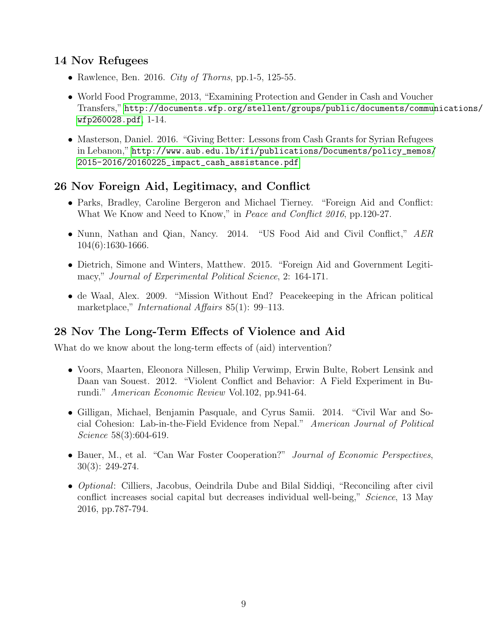### 14 Nov Refugees

- Rawlence, Ben. 2016. City of Thorns, pp. 1-5, 125-55.
- World Food Programme, 2013, "Examining Protection and Gender in Cash and Voucher Transfers," [http://documents.wfp.org/stellent/groups/public/documents/commun](http://documents.wfp.org/stellent/groups/public/documents/communications/wfp260028.pdf)ications/ [wfp260028.pdf](http://documents.wfp.org/stellent/groups/public/documents/communications/wfp260028.pdf), 1-14.
- Masterson, Daniel. 2016. "Giving Better: Lessons from Cash Grants for Syrian Refugees in Lebanon," [http://www.aub.edu.lb/ifi/publications/Documents/policy\\_memos/](http://www.aub.edu.lb/ifi/publications/Documents/policy_memos/2015-2016/20160225_impact_cash_assistance.pdf) [2015-2016/20160225\\_impact\\_cash\\_assistance.pdf](http://www.aub.edu.lb/ifi/publications/Documents/policy_memos/2015-2016/20160225_impact_cash_assistance.pdf)

### 26 Nov Foreign Aid, Legitimacy, and Conflict

- Parks, Bradley, Caroline Bergeron and Michael Tierney. "Foreign Aid and Conflict: What We Know and Need to Know," in *Peace and Conflict 2016*, pp.120-27.
- Nunn, Nathan and Qian, Nancy. 2014. "US Food Aid and Civil Conflict," AER 104(6):1630-1666.
- Dietrich, Simone and Winters, Matthew. 2015. "Foreign Aid and Government Legitimacy," Journal of Experimental Political Science, 2: 164-171.
- de Waal, Alex. 2009. "Mission Without End? Peacekeeping in the African political marketplace," *International Affairs* 85(1): 99–113.

## 28 Nov The Long-Term Effects of Violence and Aid

What do we know about the long-term effects of (aid) intervention?

- Voors, Maarten, Eleonora Nillesen, Philip Verwimp, Erwin Bulte, Robert Lensink and Daan van Souest. 2012. "Violent Conflict and Behavior: A Field Experiment in Burundi." American Economic Review Vol.102, pp.941-64.
- Gilligan, Michael, Benjamin Pasquale, and Cyrus Samii. 2014. "Civil War and Social Cohesion: Lab-in-the-Field Evidence from Nepal." American Journal of Political Science 58(3):604-619.
- Bauer, M., et al. "Can War Foster Cooperation?" *Journal of Economic Perspectives*, 30(3): 249-274.
- *Optional:* Cilliers, Jacobus, Oeindrila Dube and Bilal Siddiqi, "Reconciling after civil conflict increases social capital but decreases individual well-being," Science, 13 May 2016, pp.787-794.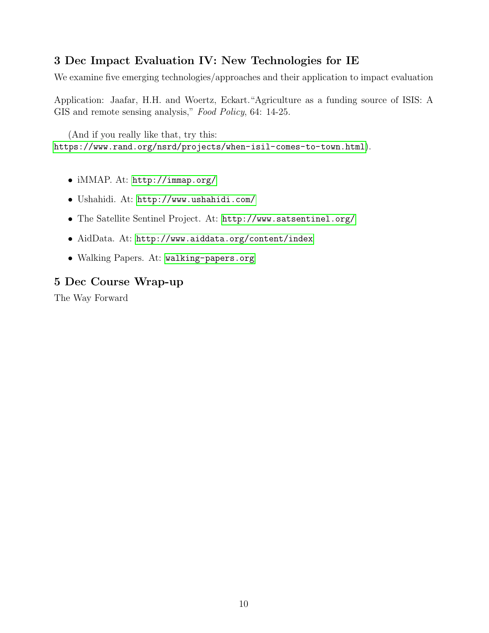### 3 Dec Impact Evaluation IV: New Technologies for IE

We examine five emerging technologies/approaches and their application to impact evaluation

Application: Jaafar, H.H. and Woertz, Eckart."Agriculture as a funding source of ISIS: A GIS and remote sensing analysis," Food Policy, 64: 14-25.

(And if you really like that, try this: <https://www.rand.org/nsrd/projects/when-isil-comes-to-town.html>).

- iMMAP. At: <http://immap.org/>
- Ushahidi. At: <http://www.ushahidi.com/>
- The Satellite Sentinel Project. At: <http://www.satsentinel.org/>
- AidData. At: <http://www.aiddata.org/content/index>
- Walking Papers. At: <walking-papers.org>

#### 5 Dec Course Wrap-up

The Way Forward